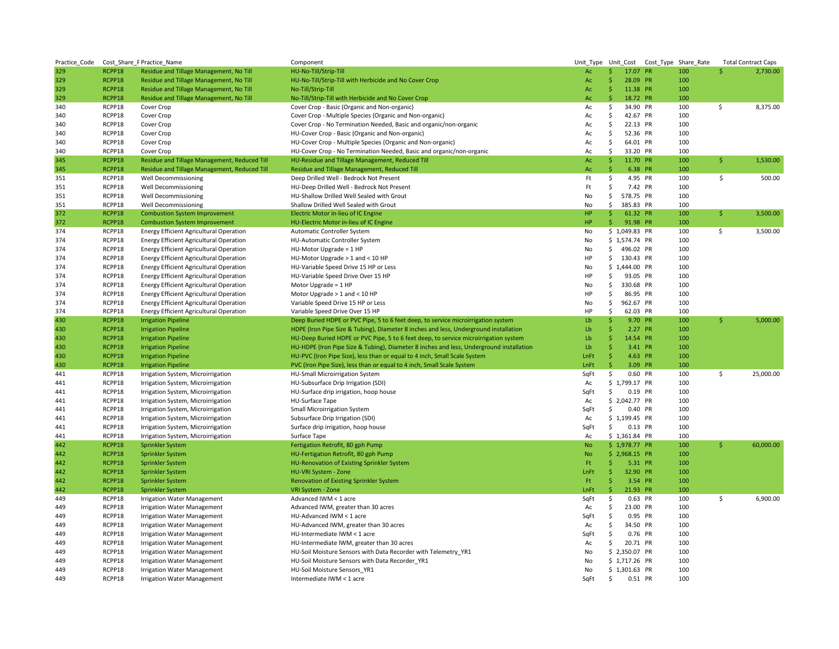| Practice Code |        | Cost Share PPractice Name                      | Component                                                                               |           |                     |                |           | Unit_Type Unit_Cost Cost_Type Share_Rate |     | <b>Total Contract Caps</b> |
|---------------|--------|------------------------------------------------|-----------------------------------------------------------------------------------------|-----------|---------------------|----------------|-----------|------------------------------------------|-----|----------------------------|
| 329           | RCPP18 | Residue and Tillage Management, No Till        | HU-No-Till/Strip-Till                                                                   | Ac        | \$.                 | 17.07 PR       |           | 100                                      | Ŝ   | 2,730.00                   |
| 329           | RCPP18 | Residue and Tillage Management, No Till        | HU-No-Till/Strip-Till with Herbicide and No Cover Crop                                  | Ac        | Ŝ                   | 28.09 PR       |           | 100                                      |     |                            |
| 329           | RCPP18 | Residue and Tillage Management, No Till        | No-Till/Strip-Till                                                                      | Ac        | Ŝ.                  | 11.38 PR       |           | 100                                      |     |                            |
| 329           | RCPP18 | Residue and Tillage Management, No Till        | No-Till/Strip-Till with Herbicide and No Cover Crop                                     | Ac        | Ŝ.                  | 18.72 PR       |           | 100                                      |     |                            |
| 340           | RCPP18 | Cover Crop                                     | Cover Crop - Basic (Organic and Non-organic)                                            | Ac        | \$                  | 34.90          | <b>PR</b> | 100                                      | \$  | 8,375.00                   |
| 340           | RCPP18 | Cover Crop                                     | Cover Crop - Multiple Species (Organic and Non-organic)                                 | Ac        | \$                  | 42.67 PR       |           | 100                                      |     |                            |
| 340           | RCPP18 | Cover Crop                                     | Cover Crop - No Termination Needed, Basic and organic/non-organic                       | Ac        | \$                  | 22.13 PR       |           | 100                                      |     |                            |
| 340           | RCPP18 | Cover Crop                                     | HU-Cover Crop - Basic (Organic and Non-organic)                                         | Ac        | \$                  | 52.36 PR       |           | 100                                      |     |                            |
| 340           | RCPP18 | Cover Crop                                     | HU-Cover Crop - Multiple Species (Organic and Non-organic)                              | Ac        | \$                  | 64.01 PR       |           | 100                                      |     |                            |
| 340           | RCPP18 | Cover Crop                                     | HU-Cover Crop - No Termination Needed, Basic and organic/non-organic                    | Ac        | Ŝ.                  | 33.20 PR       |           | 100                                      |     |                            |
| 345           | RCPP18 | Residue and Tillage Management, Reduced Till   | HU-Residue and Tillage Management, Reduced Till                                         | Ac        | \$.                 | 11.70 PR       |           | 100                                      | \$  | 1,530.00                   |
| 345           | RCPP18 | Residue and Tillage Management, Reduced Till   | Residue and Tillage Management, Reduced Till                                            | Ac        | Ŝ                   | 6.38 PR        |           | 100                                      |     |                            |
| 351           | RCPP18 | Well Decommissioning                           | Deep Drilled Well - Bedrock Not Present                                                 | Ft        | \$                  | 4.95 PR        |           | 100                                      | \$  | 500.00                     |
|               |        |                                                |                                                                                         |           |                     |                |           |                                          |     |                            |
| 351           | RCPP18 | Well Decommissioning                           | HU-Deep Drilled Well - Bedrock Not Present                                              | Ft        | \$                  | 7.42 PR        |           | 100                                      |     |                            |
| 351           | RCPP18 | Well Decommissioning                           | HU-Shallow Drilled Well Sealed with Grout                                               | No        | \$                  | 578.75 PR      |           | 100                                      |     |                            |
| 351           | RCPP18 | Well Decommissioning                           | Shallow Drilled Well Sealed with Grout                                                  | No        | \$                  | 385.83 PR      |           | 100                                      |     |                            |
| 372           | RCPP18 | <b>Combustion System Improvement</b>           | Electric Motor in-lieu of IC Engine                                                     | HP        | \$.                 | 61.32 PR       |           | 100                                      | \$. | 3,500.00                   |
| 372           | RCPP18 | <b>Combustion System Improvement</b>           | HU-Electric Motor in-lieu of IC Engine                                                  | HP.       | $\mathsf{S}$        | 91.98 PR       |           | 100                                      |     |                            |
| 374           | RCPP18 | <b>Energy Efficient Agricultural Operation</b> | Automatic Controller System                                                             | No        |                     | \$1,049.83 PR  |           | 100                                      | \$  | 3,500.00                   |
| 374           | RCPP18 | Energy Efficient Agricultural Operation        | HU-Automatic Controller System                                                          | No        |                     | \$1,574.74 PR  |           | 100                                      |     |                            |
| 374           | RCPP18 | <b>Energy Efficient Agricultural Operation</b> | HU-Motor Upgrade = 1 HP                                                                 | No        | \$                  | 496.02 PR      |           | 100                                      |     |                            |
| 374           | RCPP18 | <b>Energy Efficient Agricultural Operation</b> | HU-Motor Upgrade > 1 and < 10 HP                                                        | HP        |                     | $$130.43$ PR   |           | 100                                      |     |                            |
| 374           | RCPP18 | <b>Energy Efficient Agricultural Operation</b> | HU-Variable Speed Drive 15 HP or Less                                                   | No        |                     | \$1,444.00 PR  |           | 100                                      |     |                            |
| 374           | RCPP18 | <b>Energy Efficient Agricultural Operation</b> | HU-Variable Speed Drive Over 15 HP                                                      | HP        | \$                  | 93.05 PR       |           | 100                                      |     |                            |
| 374           | RCPP18 | <b>Energy Efficient Agricultural Operation</b> | Motor Upgrade = 1 HP                                                                    | No        | \$                  | 330.68 PR      |           | 100                                      |     |                            |
| 374           | RCPP18 | <b>Energy Efficient Agricultural Operation</b> | Motor Upgrade > 1 and < 10 HP                                                           | HP        | \$                  | 86.95 PR       |           | 100                                      |     |                            |
| 374           | RCPP18 | Energy Efficient Agricultural Operation        | Variable Speed Drive 15 HP or Less                                                      | No        | \$                  | 962.67 PR      |           | 100                                      |     |                            |
| 374           | RCPP18 | <b>Energy Efficient Agricultural Operation</b> | Variable Speed Drive Over 15 HP                                                         | HP        | \$                  | 62.03 PR       |           | 100                                      |     |                            |
| 430           | RCPP18 | <b>Irrigation Pipeline</b>                     | Deep Buried HDPE or PVC Pipe, 5 to 6 feet deep, to service microirrigation system       | Lb        | \$                  | 9.70 PR        |           | 100                                      | \$  | 5,000.00                   |
| 430           | RCPP18 | <b>Irrigation Pipeline</b>                     | HDPE (Iron Pipe Size & Tubing), Diameter 8 inches and less, Underground installation    | Lb        | $\ddot{\mathsf{s}}$ | $2.27$ PR      |           | 100                                      |     |                            |
| 430           | RCPP18 | <b>Irrigation Pipeline</b>                     | HU-Deep Buried HDPE or PVC Pipe, 5 to 6 feet deep, to service microirrigation system    | Lb        | Ŝ                   | 14.54 PR       |           | 100                                      |     |                            |
| 430           | RCPP18 | <b>Irrigation Pipeline</b>                     | HU-HDPE (Iron Pipe Size & Tubing), Diameter 8 inches and less, Underground installation | Lb        | '\$                 | 3.41 PR        |           | 100                                      |     |                            |
| 430           | RCPP18 | <b>Irrigation Pipeline</b>                     | HU-PVC (Iron Pipe Size), less than or equal to 4 inch, Small Scale System               | LnFt      | '\$                 | 4.63 PR        |           | 100                                      |     |                            |
| 430           | RCPP18 | <b>Irrigation Pipeline</b>                     | PVC (Iron Pipe Size), less than or equal to 4 inch, Small Scale System                  | LnFt      | $\mathsf{S}$        | 3.09 PR        |           | 100                                      |     |                            |
| 441           | RCPP18 |                                                |                                                                                         | SqFt      | \$                  | 0.60 PR        |           | 100                                      | \$  | 25,000.00                  |
|               |        | Irrigation System, Microirrigation             | HU-Small Microirrigation System                                                         |           |                     |                |           |                                          |     |                            |
| 441           | RCPP18 | Irrigation System, Microirrigation             | HU-Subsurface Drip Irrigation (SDI)                                                     | Ac        |                     | \$ 1,799.17 PR |           | 100                                      |     |                            |
| 441           | RCPP18 | Irrigation System, Microirrigation             | HU-Surface drip irrigation, hoop house                                                  | SqFt      | \$                  | 0.19 PR        |           | 100                                      |     |                            |
| 441           | RCPP18 | Irrigation System, Microirrigation             | HU-Surface Tape                                                                         | Ac        |                     | \$ 2,042.77 PR |           | 100                                      |     |                            |
| 441           | RCPP18 | Irrigation System, Microirrigation             | Small Microirrigation System                                                            | SqFt      | \$                  | 0.40 PR        |           | 100                                      |     |                            |
| 441           | RCPP18 | Irrigation System, Microirrigation             | Subsurface Drip Irrigation (SDI)                                                        | Ac        |                     | \$1,199.45 PR  |           | 100                                      |     |                            |
| 441           | RCPP18 | Irrigation System, Microirrigation             | Surface drip irrigation, hoop house                                                     | SqFt      | \$                  | 0.13 PR        |           | 100                                      |     |                            |
| 441           | RCPP18 | Irrigation System, Microirrigation             | Surface Tape                                                                            | Ac        |                     | \$1,361.84 PR  |           | 100                                      |     |                            |
| 442           | RCPP18 | Sprinkler System                               | Fertigation Retrofit, 80 gph Pump                                                       | <b>No</b> |                     | \$ 1,978.77 PR |           | 100                                      | Ŝ   | 60,000.00                  |
| 442           | RCPP18 | Sprinkler System                               | HU-Fertigation Retrofit, 80 gph Pump                                                    | <b>No</b> |                     | $$2,968.15$ PR |           | 100                                      |     |                            |
| 442           | RCPP18 | Sprinkler System                               | HU-Renovation of Existing Sprinkler System                                              | -Ft       | \$.                 | 5.31 PR        |           | 100                                      |     |                            |
| 442           | RCPP18 | Sprinkler System                               | HU-VRI System - Zone                                                                    | LnFt      | Ŝ                   | 32.90 PR       |           | 100                                      |     |                            |
| 442           | RCPP18 | Sprinkler System                               | Renovation of Existing Sprinkler System                                                 | -Ft       | Ŝ.                  | 3.54 PR        |           | 100                                      |     |                            |
| 442           | RCPP18 | Sprinkler System                               | VRI System - Zone                                                                       | LnFt      | \$                  | 21.93 PR       |           | 100                                      |     |                            |
| 449           | RCPP18 | <b>Irrigation Water Management</b>             | Advanced IWM < 1 acre                                                                   | SqFt      | \$                  | 0.63 PR        |           | 100                                      | \$  | 6,900.00                   |
| 449           | RCPP18 | <b>Irrigation Water Management</b>             | Advanced IWM, greater than 30 acres                                                     | Ac        | \$                  | 23.00 PR       |           | 100                                      |     |                            |
| 449           | RCPP18 | Irrigation Water Management                    | HU-Advanced IWM < 1 acre                                                                | SqFt      | \$                  | 0.95 PR        |           | 100                                      |     |                            |
| 449           | RCPP18 | <b>Irrigation Water Management</b>             | HU-Advanced IWM, greater than 30 acres                                                  | Ac        | \$                  | 34.50 PR       |           | 100                                      |     |                            |
| 449           | RCPP18 | <b>Irrigation Water Management</b>             | HU-Intermediate IWM < 1 acre                                                            | SqFt      | \$                  | 0.76 PR        |           | 100                                      |     |                            |
| 449           | RCPP18 | <b>Irrigation Water Management</b>             | HU-Intermediate IWM, greater than 30 acres                                              | Ac        | \$                  | 20.71 PR       |           | 100                                      |     |                            |
| 449           | RCPP18 | <b>Irrigation Water Management</b>             | HU-Soil Moisture Sensors with Data Recorder with Telemetry YR1                          | No        |                     | $$2,350.07$ PR |           | 100                                      |     |                            |
| 449           | RCPP18 | <b>Irrigation Water Management</b>             | HU-Soil Moisture Sensors with Data Recorder YR1                                         | No        |                     | $$1,717.26$ PR |           | 100                                      |     |                            |
| 449           | RCPP18 | <b>Irrigation Water Management</b>             | HU-Soil Moisture Sensors YR1                                                            | No        |                     | $$1,301.63$ PR |           | 100                                      |     |                            |
| 449           | RCPP18 | <b>Irrigation Water Management</b>             | Intermediate IWM < 1 acre                                                               | SqFt      | Ŝ.                  | 0.51 PR        |           | 100                                      |     |                            |
|               |        |                                                |                                                                                         |           |                     |                |           |                                          |     |                            |